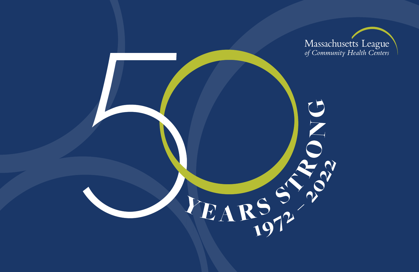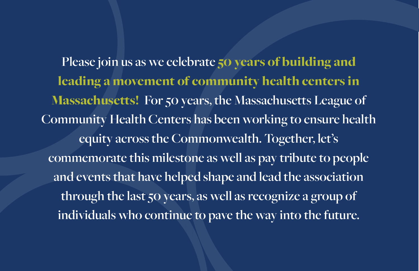**Please join us as we celebrate** 50 years of building and leading a movement of community health centers in Massachusetts! **For 50 years, the Massachusetts League of Community Health Centers has been working to ensure health equity across the Commonwealth. Together, let's commemorate this milestone as well as pay tribute to people and events that have helped shape and lead the association through the last 50 years, as well as recognize a group of individuals who continue to pave the way into the future.**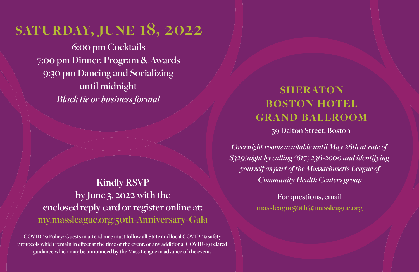# **saturday, june 18, 2022**

**6:00 pm Cocktails 7:00 pm Dinner, Program & Awards 9:30 pm Dancing and Socializing until midnight** *Black tie or business formal*

### **Kindly RSVP by June 3, 2022 with the enclosed reply card or register online at: <my.massleague.org/50th-Anniversary-Gala>**

**COVID-19 Policy: Guests in attendance must follow all State and local COVID-19 safety protocols which remain in effect at the time of the event, or any additional COVID-19 related guidance which may be announced by the Mass League in advance of the event.**

## **SHERATON boston hotel grand ballroom**

**39 Dalton Street, Boston**

*Overnight rooms available until May 26th at rate of \$329/night by calling (617) 236-2000 and identifying yourself as part of the Massachusetts League of Community Health Centers group*

> **For questions, email massleague50th@massleague.org**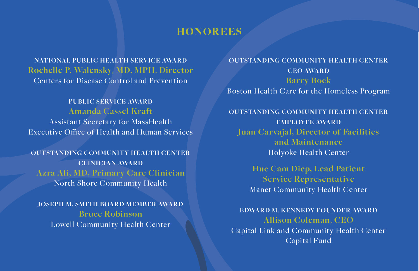#### **honorees**

**NATIONAL PUBLIC HEALTH SERVICE AWARD Rochelle P. Walensky, MD, MPH, Director** Centers for Disease Control and Prevention

**PUBLIC SERVICE AWARD Amanda Cassel Kraft** Assistant Secretary for MassHealth Executive Office of Health and Human Services

**OUTSTANDING COMMUNITY HEALTH CENTER CLINICIAN AWARD Azra Ali, MD, Primary Care Clinician** North Shore Community Health

**JOSEPH M. SMITH BOARD MEMBER AWARD Bruce Robinson** Lowell Community Health Center

**OUTSTANDING COMMUNITY HEALTH CENTER CEO AWARD Barry Bock** Boston Health Care for the Homeless Program

**OUTSTANDING COMMUNITY HEALTH CENTER EMPLOYEE AWARD Juan Carvajal, Director of Facilities and Maintenance** Holyoke Health Center

> **Hue Cam Diep, Lead Patient Service Representative** Manet Community Health Center

**EDWARD M. KENNEDY FOUNDER AWARD Allison Coleman, CEO** Capital Link and Community Health Center Capital Fund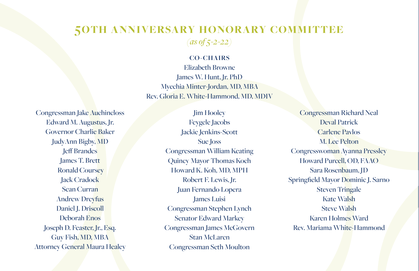#### **50th anniversary honorary committee** *(as of 5-2-22)*

#### **CO-CHAIRS**

Elizabeth Browne James W. Hunt, Jr. PhD Myechia Minter-Jordan, MD, MBA Rev. Gloria E. White-Hammond, MD, MDIV

**Jim Hooley** 

Congressman Jake Auchincloss Edward M. Augustus, Jr. Governor Charlie Baker JudyAnn Bigby, MD Jeff Brandes James T. Brett Ronald Coursey **Jack Cradock** Sean Curran Andrew Dreyfus Daniel J. Driscoll Deborah Enos Joseph D. Feaster, Jr., Esq. Guy Fish, MD, MBA Attorney General Maura Healey

Feygele Jacobs Jackie Jenkins-Scott Sue Joss Congressman William Keating Quincy Mayor Thomas Koch Howard K. Koh, MD, MPH Robert F. Lewis, Jr. Juan Fernando Lopera James Luisi Congressman Stephen Lynch Senator Edward Markey Congressman James McGovern Stan McLaren Congressman Seth Moulton

Congressman Richard Neal Deval Patrick Carlene Pavlos M. Lee Pelton Congresswoman Ayanna Pressley Howard Purcell, OD, FAAO Sara Rosenbaum, JD Springfield Mayor Dominic J. Sarno Steven Tringale Kate Walsh Steve Walsh Karen Holmes Ward Rev. Mariama White-Hammond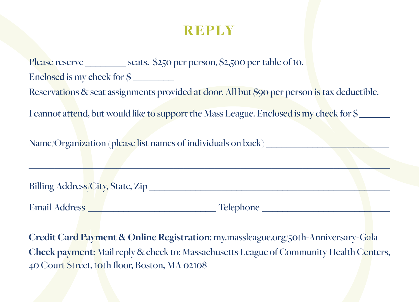### **reply**

Please reserve \_\_\_\_\_\_\_\_\_ seats. \$250 per person, \$2,500 per table of 10. Enclosed is my check for  $\hat{S}$ Reservations & seat assignments provided at door. All but \$90 per person is tax deductible. I cannot attend, but would like to support the Mass League. Enclosed is my check for  $\mathcal{S}$ 

Name/Organization (please list names of individuals on back)

|                      | <b>Billing Address/City, State, Zip</b> |  |
|----------------------|-----------------------------------------|--|
|                      |                                         |  |
| <b>Email Address</b> | Telephone                               |  |

\_\_\_\_\_\_\_\_\_\_\_\_\_\_\_\_\_\_\_\_\_\_\_\_\_\_\_\_\_\_\_\_\_\_\_\_\_\_\_\_\_\_\_\_\_\_\_\_\_\_\_\_\_\_\_\_\_\_\_\_\_\_\_\_\_\_\_\_\_\_

**Credit Card Payment & Online Registration**:<my.massleague.org/50th-Anniversary-Gala> **Check payment:** Mail reply & check to: Massachusetts League of Community Health Centers, 40 Court Street, 10th floor, Boston, MA 02108